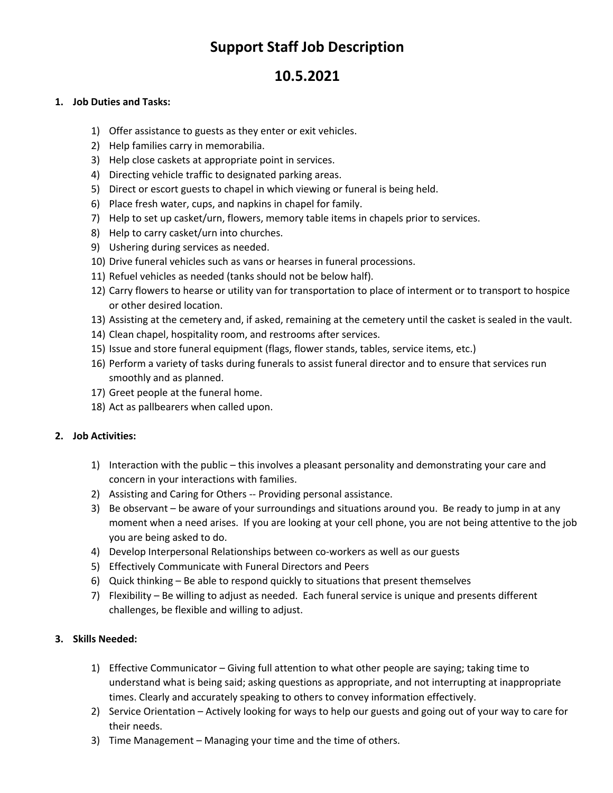# **Support Staff Job Description**

## **10.5.2021**

### **1. Job Duties and Tasks:**

- 1) Offer assistance to guests as they enter or exit vehicles.
- 2) Help families carry in memorabilia.
- 3) Help close caskets at appropriate point in services.
- 4) Directing vehicle traffic to designated parking areas.
- 5) Direct or escort guests to chapel in which viewing or funeral is being held.
- 6) Place fresh water, cups, and napkins in chapel for family.
- 7) Help to set up casket/urn, flowers, memory table items in chapels prior to services.
- 8) Help to carry casket/urn into churches.
- 9) Ushering during services as needed.
- 10) Drive funeral vehicles such as vans or hearses in funeral processions.
- 11) Refuel vehicles as needed (tanks should not be below half).
- 12) Carry flowers to hearse or utility van for transportation to place of interment or to transport to hospice or other desired location.
- 13) Assisting at the cemetery and, if asked, remaining at the cemetery until the casket is sealed in the vault.
- 14) Clean chapel, hospitality room, and restrooms after services.
- 15) Issue and store funeral equipment (flags, flower stands, tables, service items, etc.)
- 16) Perform a variety of tasks during funerals to assist funeral director and to ensure that services run smoothly and as planned.
- 17) Greet people at the funeral home.
- 18) Act as pallbearers when called upon.

#### **2. Job Activities:**

- 1) Interaction with the public this involves a pleasant personality and demonstrating your care and concern in your interactions with families.
- 2) Assisting and Caring for Others -- Providing personal assistance.
- 3) Be observant be aware of your surroundings and situations around you. Be ready to jump in at any moment when a need arises. If you are looking at your cell phone, you are not being attentive to the job you are being asked to do.
- 4) Develop Interpersonal Relationships between co-workers as well as our guests
- 5) Effectively Communicate with Funeral Directors and Peers
- 6) Quick thinking Be able to respond quickly to situations that present themselves
- 7) Flexibility Be willing to adjust as needed. Each funeral service is unique and presents different challenges, be flexible and willing to adjust.

## **3. Skills Needed:**

- 1) Effective Communicator Giving full attention to what other people are saying; taking time to understand what is being said; asking questions as appropriate, and not interrupting at inappropriate times. Clearly and accurately speaking to others to convey information effectively.
- 2) Service Orientation Actively looking for ways to help our guests and going out of your way to care for their needs.
- 3) Time Management Managing your time and the time of others.